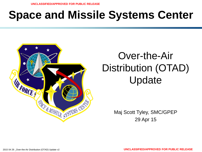# **Space and Missile Systems Center**



# Over-the-Air Distribution (OTAD) Update

Maj Scott Tyley, SMC/GPEP 29 Apr 15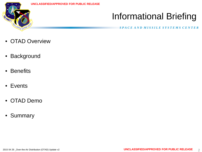

## Informational Briefing

- OTAD Overview
- Background
- Benefits
- Events
- OTAD Demo
- Summary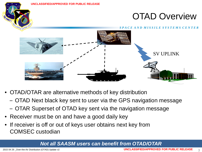

- OTAD/OTAR are alternative methods of key distribution
	- OTAD Next black key sent to user via the GPS navigation message
	- OTAR Superset of OTAD key sent via the navigation message
- Receiver must be on and have a good daily key
- If receiver is off or out of keys user obtains next key from COMSEC custodian

### *Not all SAASM users can benefit from OTAD/OTAR*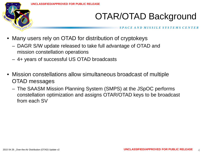

## OTAR/OTAD Background

- Many users rely on OTAD for distribution of cryptokeys
	- DAGR S/W update released to take full advantage of OTAD and mission constellation operations
	- 4+ years of successful US OTAD broadcasts
- Mission constellations allow simultaneous broadcast of multiple OTAD messages
	- The SAASM Mission Planning System (SMPS) at the JSpOC performs constellation optimization and assigns OTAR/OTAD keys to be broadcast from each SV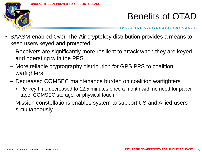

### Benefits of OTAD

- SAASM-enabled Over-The-Air cryptokey distribution provides a means to keep users keyed and protected
	- Receivers are significantly more resilient to attack when they are keyed and operating with the PPS
	- More reliable cryptography distribution for GPS PPS to coalition warfighters
	- Decreased COMSEC maintenance burden on coalition warfighters
		- Re-key time decreased to 12.5 minutes once a month with no need for paper tape, COMSEC storage, or physical touch
	- Mission constellations enables system to support US and Allied users simultaneously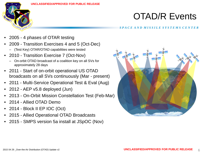

#### **UNCLASSIFIED/APPROVED FOR PUBLIC RELEASE**

### OTAD/R Events

- 2005 4 phases of OTAR testing
- 2009 Transition Exercises 4 and 5 (Oct-Dec)
	- (Test Key) OTAR/OTAD capabilities were tested
- 2010 Transition Exercise 7 (Oct-Nov)
	- On-orbit OTAD broadcast of a coalition key on all SVs for approximately 28 days
- 2011 Start of on-orbit operational US OTAD broadcasts on all SVs continuously (Mar - present)
- 2011 Multi-Service Operational Test & Eval (Aug)
- 2012 AEP v5.8 deployed (Jun)
- 2013 On-Orbit Mission Constellation Test (Feb-Mar)
- 2014 Allied OTAD Demo
- 2014 Block II EP IOC (Oct)
- 2015 Allied Operational OTAD Broadcasts
- 2015 SMPS version 5a install at JSpOC (Nov)

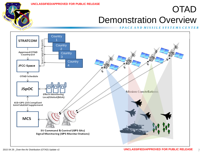### OTAD Demonstration Overview

#### *S P A C E A N D M I S S I L E S Y S T E M S C E N T E R*



FORCE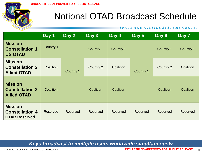

### Notional OTAD Broadcast Schedule

#### *S P A C E A N D M I S S I L E S Y S T E M S C E N T E R*

|                                                                  | Day 1           | Day 2           | Day 3            | Day 4     | Day 5            | Day 6           | Day 7           |
|------------------------------------------------------------------|-----------------|-----------------|------------------|-----------|------------------|-----------------|-----------------|
| <b>Mission</b><br><b>Constellation 1</b><br><b>US OTAD</b>       | Country 1       | Country 1       | Country 1        | Country 1 | <b>Country 1</b> | Country 1       | Country 1       |
| <b>Mission</b><br><b>Constellation 2</b><br><b>Allied OTAD</b>   | Coalition       |                 | <b>Country 2</b> | Coalition |                  | Country 2       | Coalition       |
| <b>Mission</b><br><b>Constellation 3</b><br><b>Allied OTAD</b>   | Coalition       |                 | Coalition        | Coalition |                  | Coalition       | Coalition       |
| <b>Mission</b><br><b>Constellation 4</b><br><b>OTAR Reserved</b> | <b>Reserved</b> | <b>Reserved</b> | <b>Reserved</b>  | Reserved  | Reserved         | <b>Reserved</b> | <b>Reserved</b> |

### *Keys broadcast to multiple users worldwide simultaneously*

8